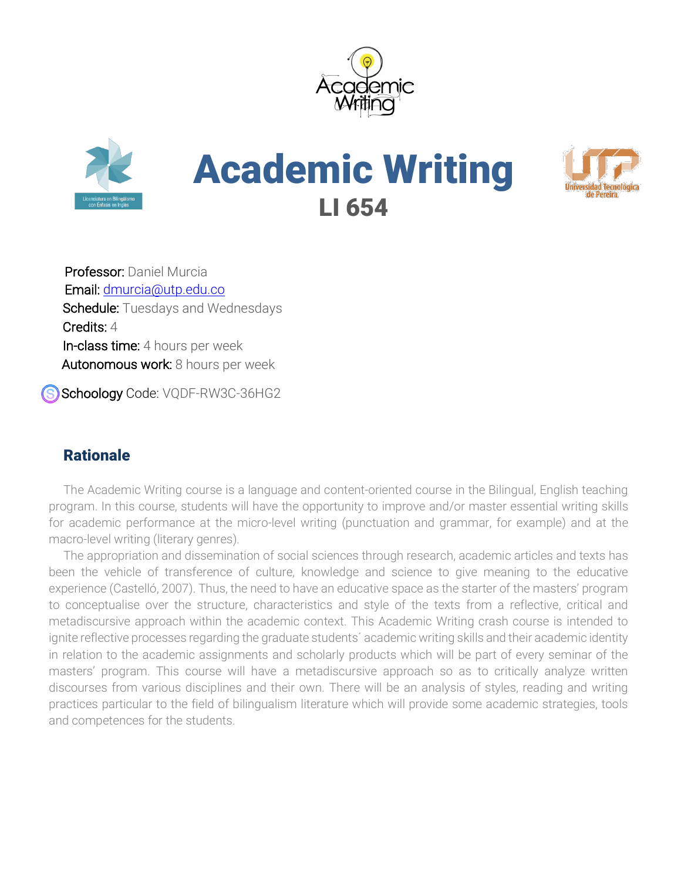





Professor: Daniel Murcia Email: dmurcia@utp.edu.co Schedule: Tuesdays and Wednesdays Credits: 4 In-class time: 4 hours per week Autonomous work: 8 hours per week

Schoology Code: VQDF-RW3C-36HG2

# **Rationale**

The Academic Writing course is a language and content-oriented course in the Bilingual, English teaching program. In this course, students will have the opportunity to improve and/or master essential writing skills for academic performance at the micro-level writing (punctuation and grammar, for example) and at the macro-level writing (literary genres).

The appropriation and dissemination of social sciences through research, academic articles and texts has been the vehicle of transference of culture, knowledge and science to give meaning to the educative experience (Castelló, 2007). Thus, the need to have an educative space as the starter of the masters' program to conceptualise over the structure, characteristics and style of the texts from a reflective, critical and metadiscursive approach within the academic context. This Academic Writing crash course is intended to ignite reflective processes regarding the graduate students´ academic writing skills and their academic identity in relation to the academic assignments and scholarly products which will be part of every seminar of the masters' program. This course will have a metadiscursive approach so as to critically analyze written discourses from various disciplines and their own. There will be an analysis of styles, reading and writing practices particular to the field of bilingualism literature which will provide some academic strategies, tools and competences for the students.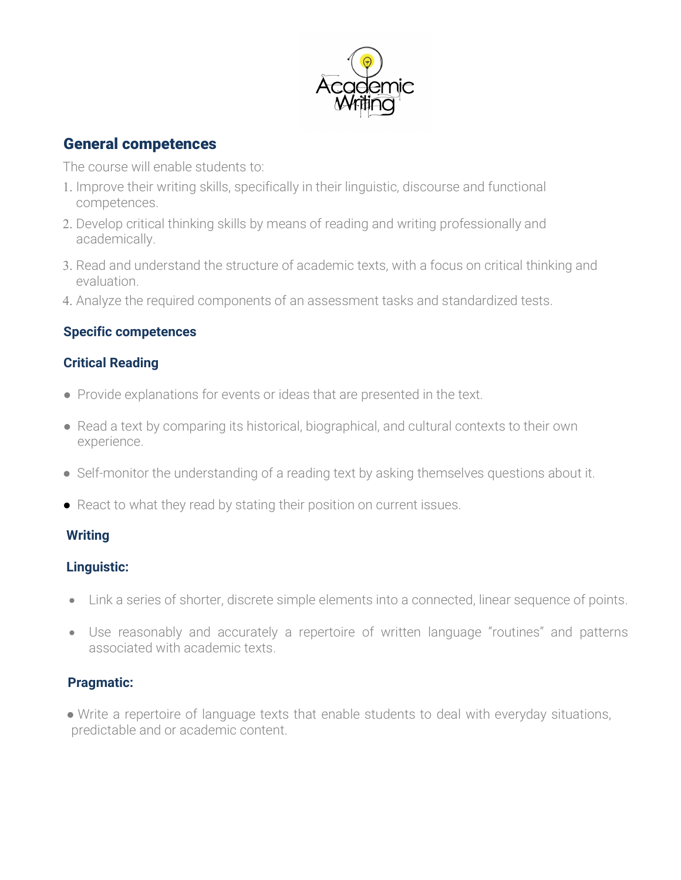

## General competences

The course will enable students to:

- 1. Improve their writing skills, specifically in their linguistic, discourse and functional competences.
- 2. Develop critical thinking skills by means of reading and writing professionally and academically.
- 3. Read and understand the structure of academic texts, with a focus on critical thinking and evaluation.
- 4. Analyze the required components of an assessment tasks and standardized tests.

## **Specific competences**

## **Critical Reading**

- Provide explanations for events or ideas that are presented in the text.
- Read a text by comparing its historical, biographical, and cultural contexts to their own experience.
- Self-monitor the understanding of a reading text by asking themselves questions about it.
- React to what they read by stating their position on current issues.

## **Writing**

## **Linguistic:**

- Link a series of shorter, discrete simple elements into a connected, linear sequence of points.
- Use reasonably and accurately a repertoire of written language "routines" and patterns associated with academic texts.

## **Pragmatic:**

● Write a repertoire of language texts that enable students to deal with everyday situations, predictable and or academic content.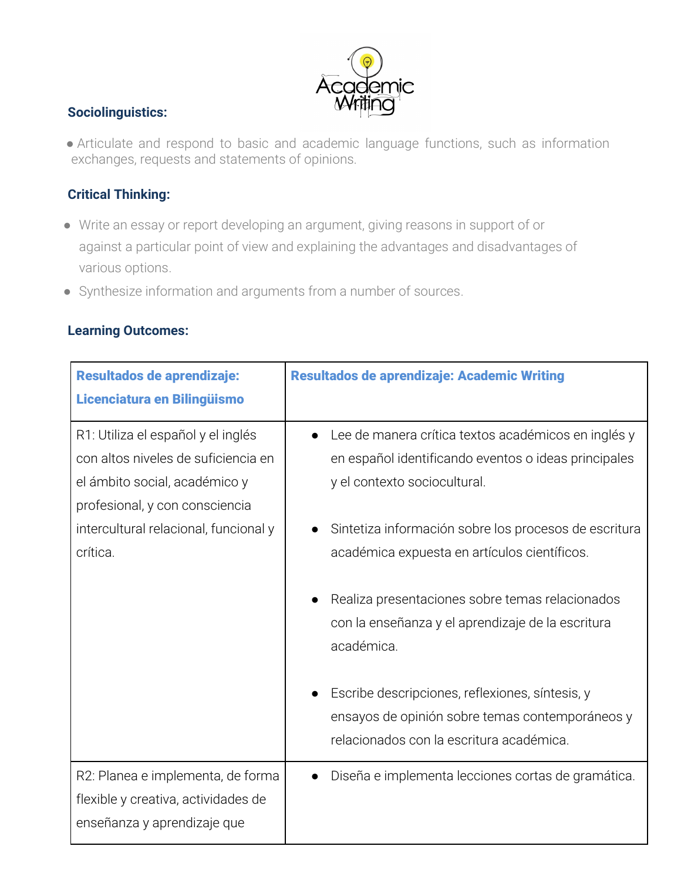

#### **Sociolinguistics:**

● Articulate and respond to basic and academic language functions, such as information exchanges, requests and statements of opinions.

## **Critical Thinking:**

- Write an essay or report developing an argument, giving reasons in support of or against a particular point of view and explaining the advantages and disadvantages of various options.
- Synthesize information and arguments from a number of sources.

#### **Learning Outcomes:**

| Resultados de aprendizaje:            | Resultados de aprendizaje: Academic Writing                     |
|---------------------------------------|-----------------------------------------------------------------|
| Licenciatura en Bilingüismo           |                                                                 |
| R1: Utiliza el español y el inglés    | Lee de manera crítica textos académicos en inglés y             |
| con altos niveles de suficiencia en   | en español identificando eventos o ideas principales            |
| el ámbito social, académico y         | y el contexto sociocultural.                                    |
| profesional, y con consciencia        |                                                                 |
| intercultural relacional, funcional y | Sintetiza información sobre los procesos de escritura           |
| crítica.                              | académica expuesta en artículos científicos.                    |
|                                       |                                                                 |
|                                       | Realiza presentaciones sobre temas relacionados                 |
|                                       | con la enseñanza y el aprendizaje de la escritura<br>académica. |
|                                       |                                                                 |
|                                       | Escribe descripciones, reflexiones, síntesis, y                 |
|                                       | ensayos de opinión sobre temas contemporáneos y                 |
|                                       | relacionados con la escritura académica.                        |
|                                       |                                                                 |
| R2: Planea e implementa, de forma     | Diseña e implementa lecciones cortas de gramática.              |
| flexible y creativa, actividades de   |                                                                 |
| enseñanza y aprendizaje que           |                                                                 |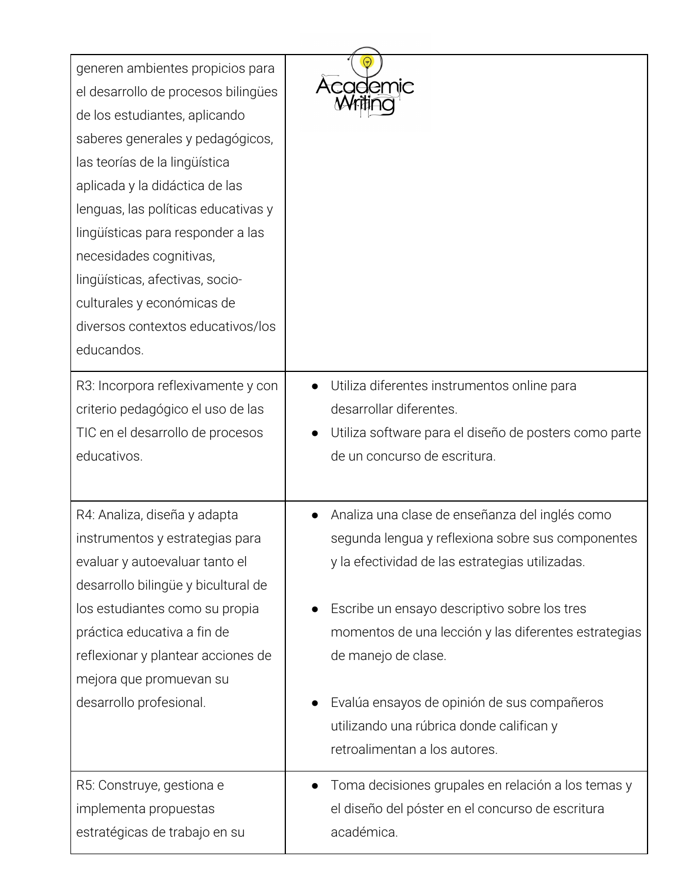| generen ambientes propicios para<br>el desarrollo de procesos bilingües<br>de los estudiantes, aplicando<br>saberes generales y pedagógicos,<br>las teorías de la lingüística<br>aplicada y la didáctica de las<br>lenguas, las políticas educativas y<br>lingüísticas para responder a las<br>necesidades cognitivas,<br>lingüísticas, afectivas, socio-<br>culturales y económicas de<br>diversos contextos educativos/los<br>educandos. | cademic                                               |
|--------------------------------------------------------------------------------------------------------------------------------------------------------------------------------------------------------------------------------------------------------------------------------------------------------------------------------------------------------------------------------------------------------------------------------------------|-------------------------------------------------------|
| R3: Incorpora reflexivamente y con                                                                                                                                                                                                                                                                                                                                                                                                         | Utiliza diferentes instrumentos online para           |
| criterio pedagógico el uso de las                                                                                                                                                                                                                                                                                                                                                                                                          | desarrollar diferentes.                               |
| TIC en el desarrollo de procesos                                                                                                                                                                                                                                                                                                                                                                                                           | Utiliza software para el diseño de posters como parte |
| educativos.                                                                                                                                                                                                                                                                                                                                                                                                                                | de un concurso de escritura.                          |
| R4: Analiza, diseña y adapta                                                                                                                                                                                                                                                                                                                                                                                                               | Analiza una clase de enseñanza del inglés como        |
| instrumentos y estrategias para                                                                                                                                                                                                                                                                                                                                                                                                            | segunda lengua y reflexiona sobre sus componentes     |
| evaluar y autoevaluar tanto el                                                                                                                                                                                                                                                                                                                                                                                                             | y la efectividad de las estrategias utilizadas.       |
| desarrollo bilingüe y bicultural de                                                                                                                                                                                                                                                                                                                                                                                                        | Escribe un ensayo descriptivo sobre los tres          |
| los estudiantes como su propia                                                                                                                                                                                                                                                                                                                                                                                                             | momentos de una lección y las diferentes estrategias  |
| práctica educativa a fin de                                                                                                                                                                                                                                                                                                                                                                                                                | de manejo de clase.                                   |
| reflexionar y plantear acciones de                                                                                                                                                                                                                                                                                                                                                                                                         | Evalúa ensayos de opinión de sus compañeros           |
| mejora que promuevan su                                                                                                                                                                                                                                                                                                                                                                                                                    | utilizando una rúbrica donde califican y              |
| desarrollo profesional.                                                                                                                                                                                                                                                                                                                                                                                                                    | retroalimentan a los autores.                         |
| R5: Construye, gestiona e                                                                                                                                                                                                                                                                                                                                                                                                                  | Toma decisiones grupales en relación a los temas y    |
| implementa propuestas                                                                                                                                                                                                                                                                                                                                                                                                                      | el diseño del póster en el concurso de escritura      |
| estratégicas de trabajo en su                                                                                                                                                                                                                                                                                                                                                                                                              | académica.                                            |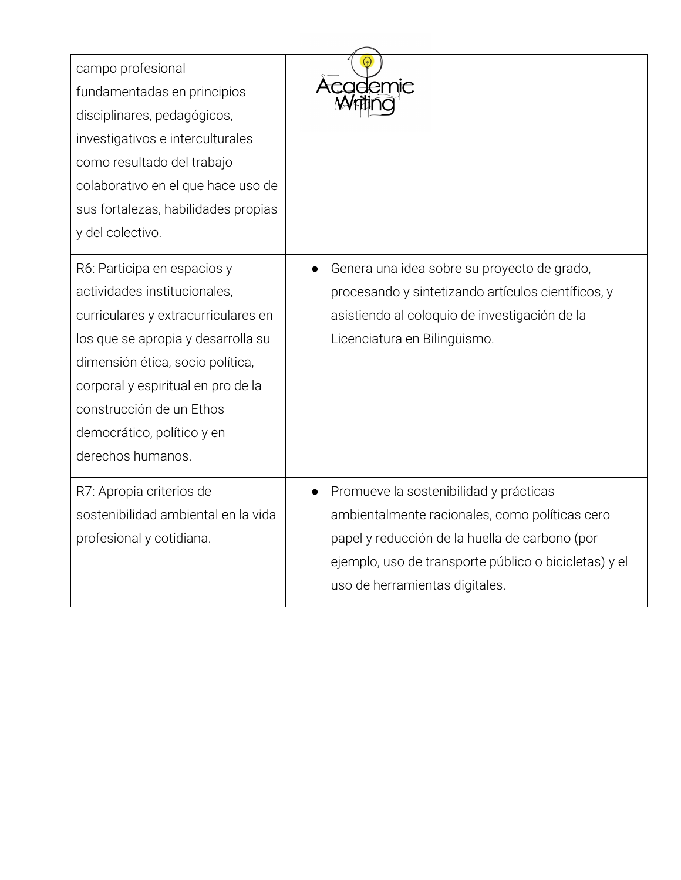| campo profesional<br>fundamentadas en principios<br>disciplinares, pedagógicos,<br>investigativos e interculturales<br>como resultado del trabajo<br>colaborativo en el que hace uso de<br>sus fortalezas, habilidades propias<br>y del colectivo.                                                | cademic                                                                                                                                                                                                                                            |  |  |
|---------------------------------------------------------------------------------------------------------------------------------------------------------------------------------------------------------------------------------------------------------------------------------------------------|----------------------------------------------------------------------------------------------------------------------------------------------------------------------------------------------------------------------------------------------------|--|--|
| R6: Participa en espacios y<br>actividades institucionales,<br>curriculares y extracurriculares en<br>los que se apropia y desarrolla su<br>dimensión ética, socio política,<br>corporal y espiritual en pro de la<br>construcción de un Ethos<br>democrático, político y en<br>derechos humanos. | Genera una idea sobre su proyecto de grado,<br>procesando y sintetizando artículos científicos, y<br>asistiendo al coloquio de investigación de la<br>Licenciatura en Bilingüismo.                                                                 |  |  |
| R7: Apropia criterios de<br>sostenibilidad ambiental en la vida<br>profesional y cotidiana.                                                                                                                                                                                                       | Promueve la sostenibilidad y prácticas<br>$\bullet$<br>ambientalmente racionales, como políticas cero<br>papel y reducción de la huella de carbono (por<br>ejemplo, uso de transporte público o bicicletas) y el<br>uso de herramientas digitales. |  |  |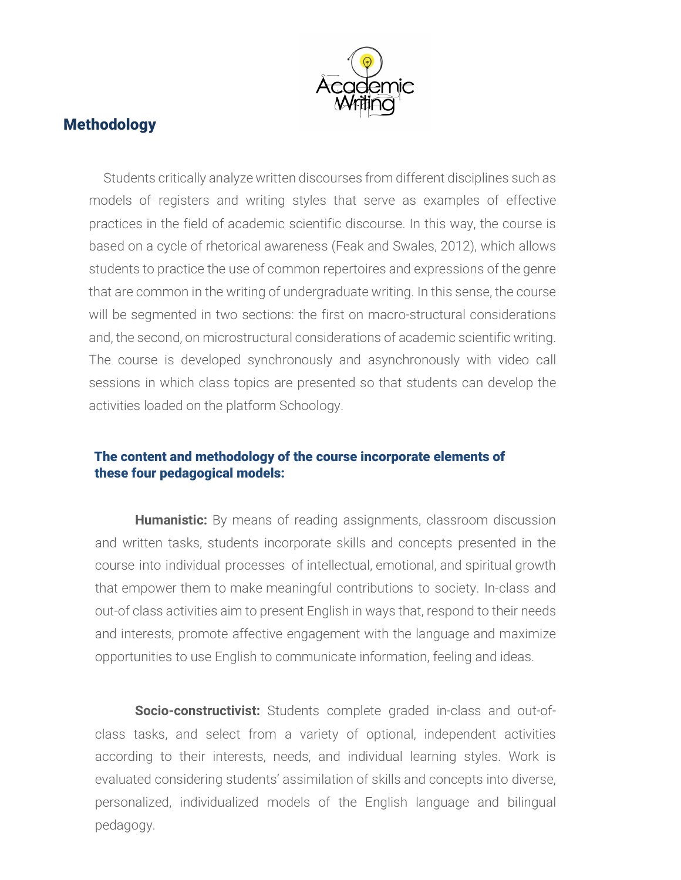

## Methodology

Students critically analyze written discourses from different disciplines such as models of registers and writing styles that serve as examples of effective practices in the field of academic scientific discourse. In this way, the course is based on a cycle of rhetorical awareness (Feak and Swales, 2012), which allows students to practice the use of common repertoires and expressions of the genre that are common in the writing of undergraduate writing. In this sense, the course will be segmented in two sections: the first on macro-structural considerations and, the second, on microstructural considerations of academic scientific writing. The course is developed synchronously and asynchronously with video call sessions in which class topics are presented so that students can develop the activities loaded on the platform Schoology.

#### The content and methodology of the course incorporate elements of these four pedagogical models:

**Humanistic:** By means of reading assignments, classroom discussion and written tasks, students incorporate skills and concepts presented in the course into individual processes of intellectual, emotional, and spiritual growth that empower them to make meaningful contributions to society. In-class and out-of class activities aim to present English in ways that, respond to their needs and interests, promote affective engagement with the language and maximize opportunities to use English to communicate information, feeling and ideas.

**Socio-constructivist:** Students complete graded in-class and out-ofclass tasks, and select from a variety of optional, independent activities according to their interests, needs, and individual learning styles. Work is evaluated considering students' assimilation of skills and concepts into diverse, personalized, individualized models of the English language and bilingual pedagogy.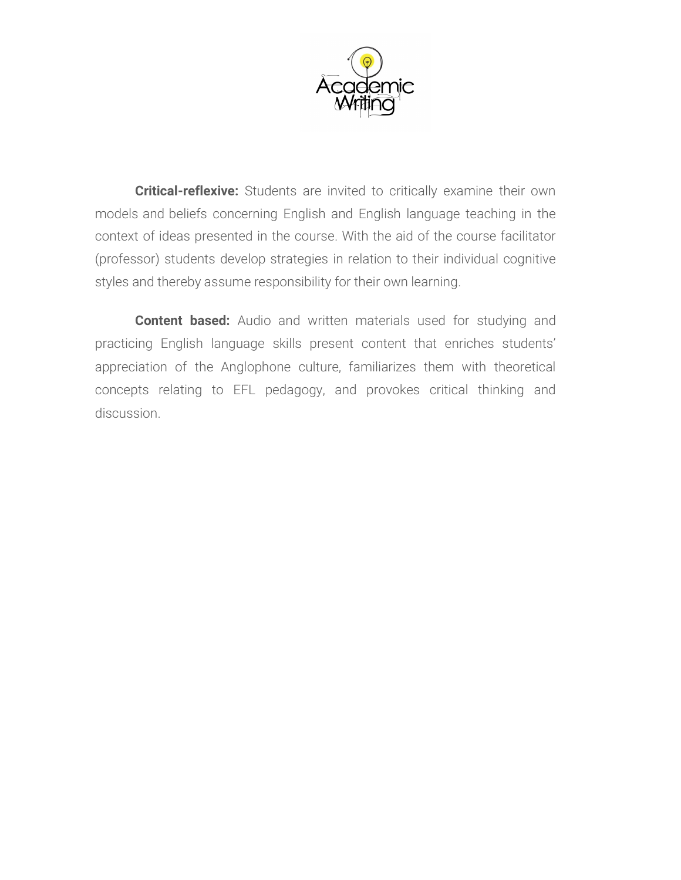

**Critical-reflexive:** Students are invited to critically examine their own models and beliefs concerning English and English language teaching in the context of ideas presented in the course. With the aid of the course facilitator (professor) students develop strategies in relation to their individual cognitive styles and thereby assume responsibility for their own learning.

**Content based:** Audio and written materials used for studying and practicing English language skills present content that enriches students' appreciation of the Anglophone culture, familiarizes them with theoretical concepts relating to EFL pedagogy, and provokes critical thinking and discussion.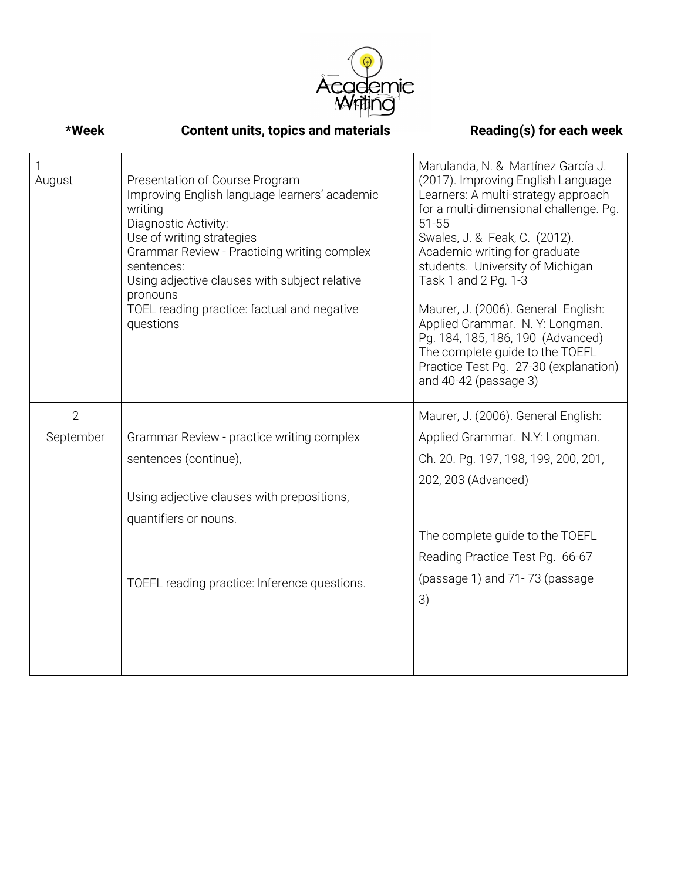

| *Week          | <b>Content units, topics and materials</b>                                                                                                                                                                                                                                                                                            | Reading(s) for each week                                                                                                                                                                                                                                                                                                                                                                                                                                                                                                |
|----------------|---------------------------------------------------------------------------------------------------------------------------------------------------------------------------------------------------------------------------------------------------------------------------------------------------------------------------------------|-------------------------------------------------------------------------------------------------------------------------------------------------------------------------------------------------------------------------------------------------------------------------------------------------------------------------------------------------------------------------------------------------------------------------------------------------------------------------------------------------------------------------|
| August         | Presentation of Course Program<br>Improving English language learners' academic<br>writing<br>Diagnostic Activity:<br>Use of writing strategies<br>Grammar Review - Practicing writing complex<br>sentences:<br>Using adjective clauses with subject relative<br>pronouns<br>TOEL reading practice: factual and negative<br>questions | Marulanda, N. & Martínez García J.<br>(2017). Improving English Language<br>Learners: A multi-strategy approach<br>for a multi-dimensional challenge. Pg.<br>$51 - 55$<br>Swales, J. & Feak, C. (2012).<br>Academic writing for graduate<br>students. University of Michigan<br>Task 1 and 2 Pg. 1-3<br>Maurer, J. (2006). General English:<br>Applied Grammar. N.Y: Longman.<br>Pg. 184, 185, 186, 190 (Advanced)<br>The complete guide to the TOEFL<br>Practice Test Pg. 27-30 (explanation)<br>and 40-42 (passage 3) |
| $\overline{2}$ |                                                                                                                                                                                                                                                                                                                                       | Maurer, J. (2006). General English:                                                                                                                                                                                                                                                                                                                                                                                                                                                                                     |
| September      | Grammar Review - practice writing complex                                                                                                                                                                                                                                                                                             | Applied Grammar. N.Y: Longman.                                                                                                                                                                                                                                                                                                                                                                                                                                                                                          |
|                | sentences (continue),                                                                                                                                                                                                                                                                                                                 | Ch. 20. Pg. 197, 198, 199, 200, 201,                                                                                                                                                                                                                                                                                                                                                                                                                                                                                    |
|                |                                                                                                                                                                                                                                                                                                                                       | 202, 203 (Advanced)                                                                                                                                                                                                                                                                                                                                                                                                                                                                                                     |
|                | Using adjective clauses with prepositions,                                                                                                                                                                                                                                                                                            |                                                                                                                                                                                                                                                                                                                                                                                                                                                                                                                         |
|                | quantifiers or nouns.                                                                                                                                                                                                                                                                                                                 | The complete guide to the TOEFL                                                                                                                                                                                                                                                                                                                                                                                                                                                                                         |
|                |                                                                                                                                                                                                                                                                                                                                       | Reading Practice Test Pg. 66-67                                                                                                                                                                                                                                                                                                                                                                                                                                                                                         |
|                | TOEFL reading practice: Inference questions.                                                                                                                                                                                                                                                                                          | (passage 1) and 71-73 (passage<br>3)                                                                                                                                                                                                                                                                                                                                                                                                                                                                                    |
|                |                                                                                                                                                                                                                                                                                                                                       |                                                                                                                                                                                                                                                                                                                                                                                                                                                                                                                         |
|                |                                                                                                                                                                                                                                                                                                                                       |                                                                                                                                                                                                                                                                                                                                                                                                                                                                                                                         |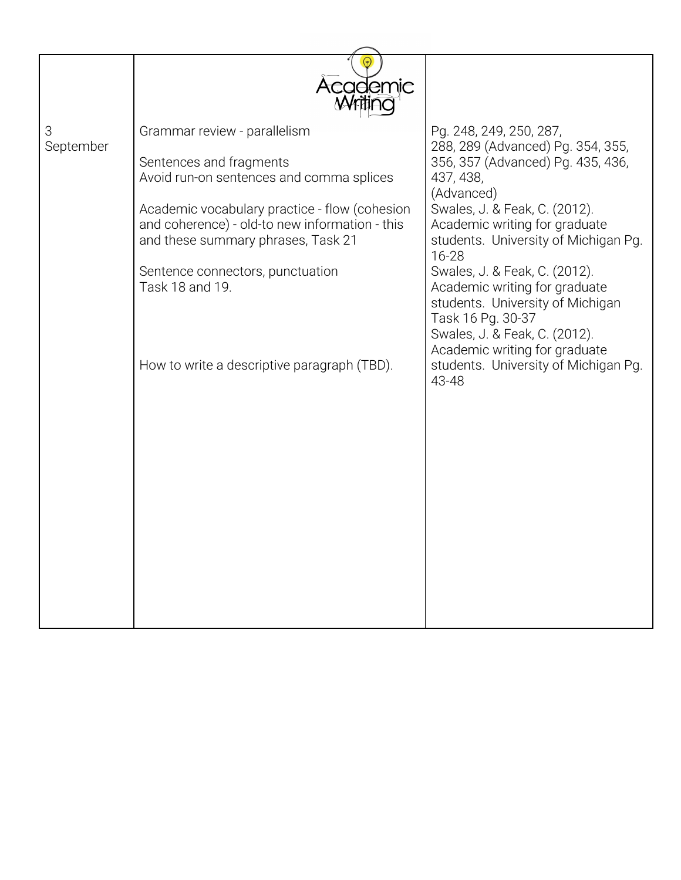|                | Academic                                                                                                                                                                                                                                                                                                                                           |                                                                                                                                                                                                                                                                                                                                                                                                                                                                                               |
|----------------|----------------------------------------------------------------------------------------------------------------------------------------------------------------------------------------------------------------------------------------------------------------------------------------------------------------------------------------------------|-----------------------------------------------------------------------------------------------------------------------------------------------------------------------------------------------------------------------------------------------------------------------------------------------------------------------------------------------------------------------------------------------------------------------------------------------------------------------------------------------|
| 3<br>September | Grammar review - parallelism<br>Sentences and fragments<br>Avoid run-on sentences and comma splices<br>Academic vocabulary practice - flow (cohesion<br>and coherence) - old-to new information - this<br>and these summary phrases, Task 21<br>Sentence connectors, punctuation<br>Task 18 and 19.<br>How to write a descriptive paragraph (TBD). | Pg. 248, 249, 250, 287,<br>288, 289 (Advanced) Pg. 354, 355,<br>356, 357 (Advanced) Pg. 435, 436,<br>437, 438,<br>(Advanced)<br>Swales, J. & Feak, C. (2012).<br>Academic writing for graduate<br>students. University of Michigan Pg.<br>16-28<br>Swales, J. & Feak, C. (2012).<br>Academic writing for graduate<br>students. University of Michigan<br>Task 16 Pg. 30-37<br>Swales, J. & Feak, C. (2012).<br>Academic writing for graduate<br>students. University of Michigan Pg.<br>43-48 |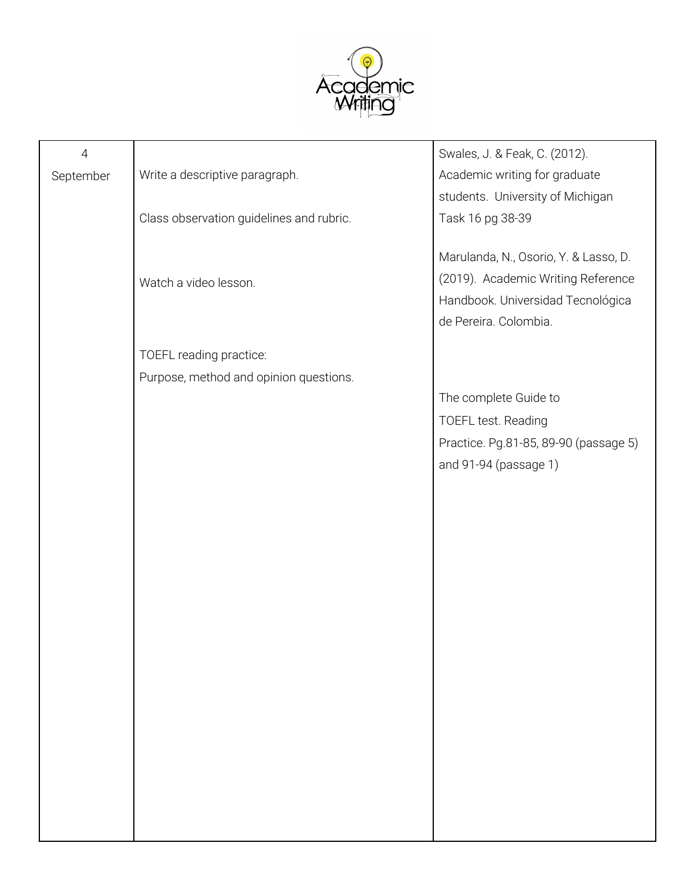

| Write a descriptive paragraph.<br>Academic writing for graduate<br>September<br>students. University of Michigan<br>Class observation guidelines and rubric.<br>Task 16 pg 38-39<br>Marulanda, N., Osorio, Y. & Lasso, D.<br>(2019). Academic Writing Reference<br>Watch a video lesson.<br>Handbook. Universidad Tecnológica<br>de Pereira. Colombia.<br>TOEFL reading practice: |
|-----------------------------------------------------------------------------------------------------------------------------------------------------------------------------------------------------------------------------------------------------------------------------------------------------------------------------------------------------------------------------------|
|                                                                                                                                                                                                                                                                                                                                                                                   |
|                                                                                                                                                                                                                                                                                                                                                                                   |
|                                                                                                                                                                                                                                                                                                                                                                                   |
|                                                                                                                                                                                                                                                                                                                                                                                   |
|                                                                                                                                                                                                                                                                                                                                                                                   |
|                                                                                                                                                                                                                                                                                                                                                                                   |
|                                                                                                                                                                                                                                                                                                                                                                                   |
|                                                                                                                                                                                                                                                                                                                                                                                   |
|                                                                                                                                                                                                                                                                                                                                                                                   |
| Purpose, method and opinion questions.                                                                                                                                                                                                                                                                                                                                            |
| The complete Guide to                                                                                                                                                                                                                                                                                                                                                             |
| TOEFL test. Reading                                                                                                                                                                                                                                                                                                                                                               |
| Practice. Pg.81-85, 89-90 (passage 5)                                                                                                                                                                                                                                                                                                                                             |
| and 91-94 (passage 1)                                                                                                                                                                                                                                                                                                                                                             |
|                                                                                                                                                                                                                                                                                                                                                                                   |
|                                                                                                                                                                                                                                                                                                                                                                                   |
|                                                                                                                                                                                                                                                                                                                                                                                   |
|                                                                                                                                                                                                                                                                                                                                                                                   |
|                                                                                                                                                                                                                                                                                                                                                                                   |
|                                                                                                                                                                                                                                                                                                                                                                                   |
|                                                                                                                                                                                                                                                                                                                                                                                   |
|                                                                                                                                                                                                                                                                                                                                                                                   |
|                                                                                                                                                                                                                                                                                                                                                                                   |
|                                                                                                                                                                                                                                                                                                                                                                                   |
|                                                                                                                                                                                                                                                                                                                                                                                   |
|                                                                                                                                                                                                                                                                                                                                                                                   |
|                                                                                                                                                                                                                                                                                                                                                                                   |
|                                                                                                                                                                                                                                                                                                                                                                                   |
|                                                                                                                                                                                                                                                                                                                                                                                   |
|                                                                                                                                                                                                                                                                                                                                                                                   |
|                                                                                                                                                                                                                                                                                                                                                                                   |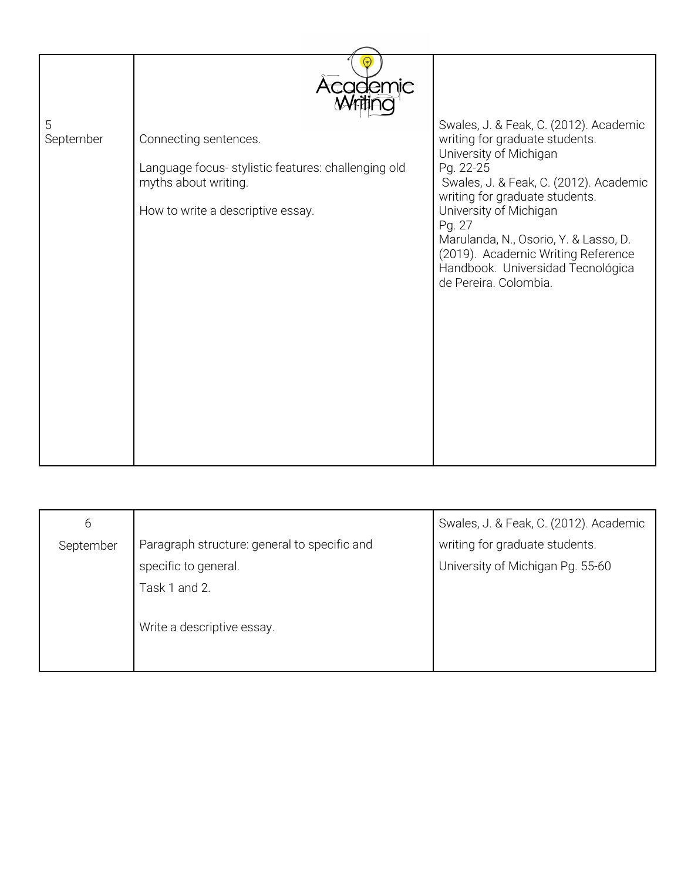|                | Academic                                                                                                                                  |                                                                                                                                                                                                                                                                                                                                                                              |
|----------------|-------------------------------------------------------------------------------------------------------------------------------------------|------------------------------------------------------------------------------------------------------------------------------------------------------------------------------------------------------------------------------------------------------------------------------------------------------------------------------------------------------------------------------|
|                |                                                                                                                                           |                                                                                                                                                                                                                                                                                                                                                                              |
| 5<br>September | Connecting sentences.<br>Language focus- stylistic features: challenging old<br>myths about writing.<br>How to write a descriptive essay. | Swales, J. & Feak, C. (2012). Academic<br>writing for graduate students.<br>University of Michigan<br>Pg. 22-25<br>Swales, J. & Feak, C. (2012). Academic<br>writing for graduate students.<br>University of Michigan<br>Pg. 27<br>Marulanda, N., Osorio, Y. & Lasso, D.<br>(2019). Academic Writing Reference<br>Handbook. Universidad Tecnológica<br>de Pereira. Colombia. |
|                |                                                                                                                                           |                                                                                                                                                                                                                                                                                                                                                                              |
|                |                                                                                                                                           |                                                                                                                                                                                                                                                                                                                                                                              |

| 6         |                                              | Swales, J. & Feak, C. (2012). Academic |
|-----------|----------------------------------------------|----------------------------------------|
| September | Paragraph structure: general to specific and | writing for graduate students.         |
|           | specific to general.                         | University of Michigan Pg. 55-60       |
|           | Task 1 and 2.                                |                                        |
|           | Write a descriptive essay.                   |                                        |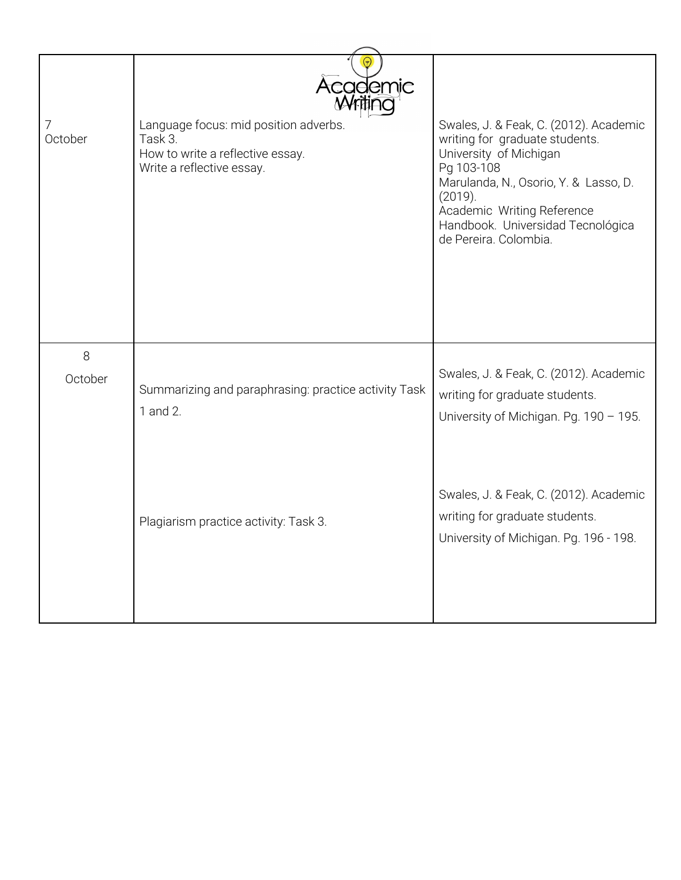| 7<br>October | Academic<br>Language focus: mid position adverbs.<br>Task 3.<br>How to write a reflective essay.<br>Write a reflective essay. | Swales, J. & Feak, C. (2012). Academic<br>writing for graduate students.<br>University of Michigan<br>Pg 103-108<br>Marulanda, N., Osorio, Y. & Lasso, D.<br>(2019).<br>Academic Writing Reference<br>Handbook. Universidad Tecnológica<br>de Pereira. Colombia. |
|--------------|-------------------------------------------------------------------------------------------------------------------------------|------------------------------------------------------------------------------------------------------------------------------------------------------------------------------------------------------------------------------------------------------------------|
| 8<br>October | Summarizing and paraphrasing: practice activity Task<br>1 and 2.                                                              | Swales, J. & Feak, C. (2012). Academic<br>writing for graduate students.<br>University of Michigan. Pg. 190 - 195.                                                                                                                                               |
|              | Plagiarism practice activity: Task 3.                                                                                         | Swales, J. & Feak, C. (2012). Academic<br>writing for graduate students.<br>University of Michigan. Pg. 196 - 198.                                                                                                                                               |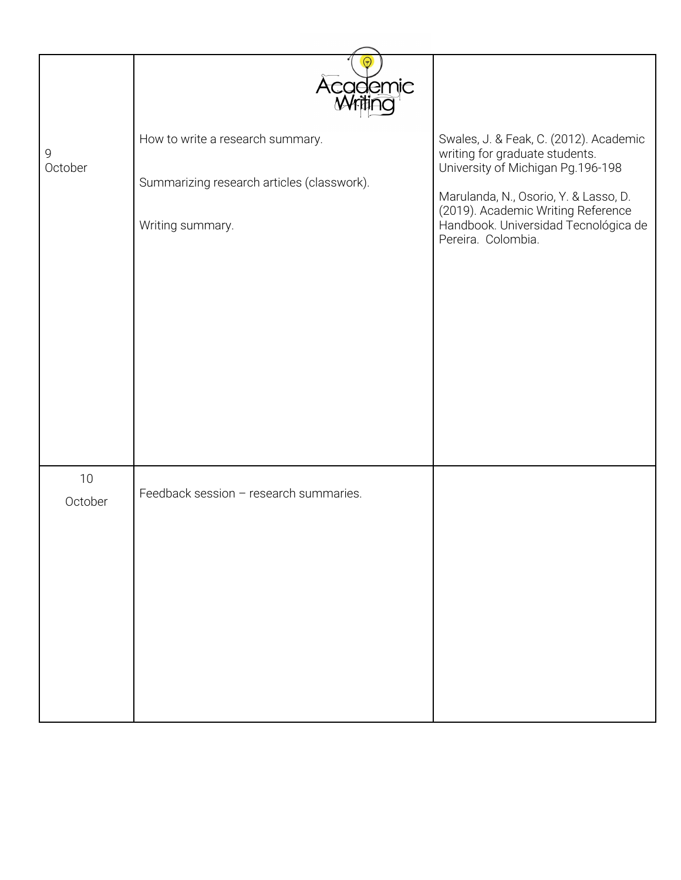|              | <b>Academic</b>                            |                                                                                                                                           |
|--------------|--------------------------------------------|-------------------------------------------------------------------------------------------------------------------------------------------|
| 9<br>October | How to write a research summary.           | Swales, J. & Feak, C. (2012). Academic<br>writing for graduate students.<br>University of Michigan Pg.196-198                             |
|              | Summarizing research articles (classwork). |                                                                                                                                           |
|              | Writing summary.                           | Marulanda, N., Osorio, Y. & Lasso, D.<br>(2019). Academic Writing Reference<br>Handbook. Universidad Tecnológica de<br>Pereira. Colombia. |
|              |                                            |                                                                                                                                           |
|              |                                            |                                                                                                                                           |
|              |                                            |                                                                                                                                           |
|              |                                            |                                                                                                                                           |
|              |                                            |                                                                                                                                           |
|              |                                            |                                                                                                                                           |
|              |                                            |                                                                                                                                           |
|              |                                            |                                                                                                                                           |
| $10$         | Feedback session - research summaries.     |                                                                                                                                           |
| October      |                                            |                                                                                                                                           |
|              |                                            |                                                                                                                                           |
|              |                                            |                                                                                                                                           |
|              |                                            |                                                                                                                                           |
|              |                                            |                                                                                                                                           |
|              |                                            |                                                                                                                                           |
|              |                                            |                                                                                                                                           |
|              |                                            |                                                                                                                                           |
|              |                                            |                                                                                                                                           |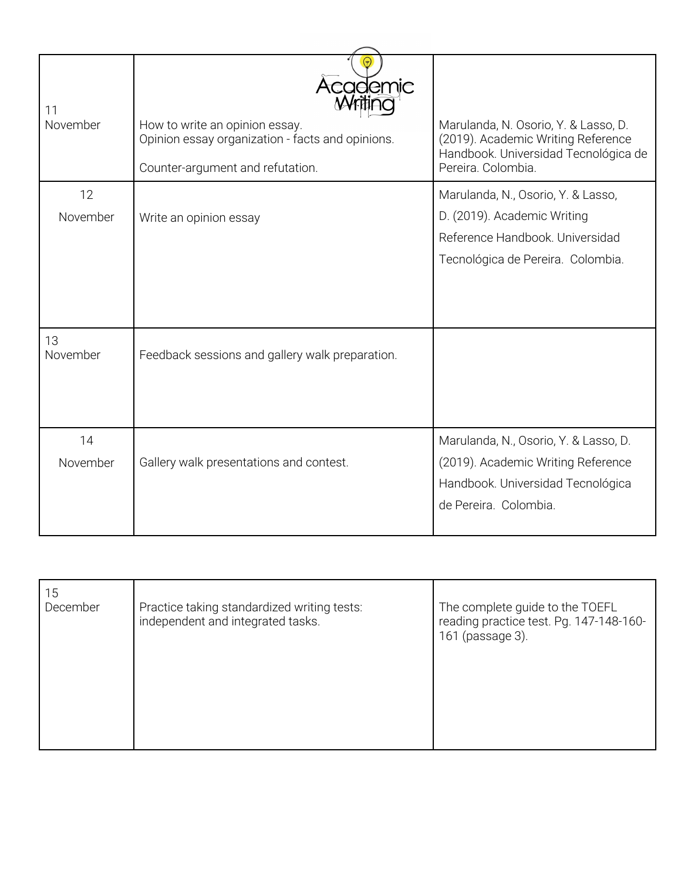| 11<br>November | Academic<br>How to write an opinion essay.<br>Opinion essay organization - facts and opinions.<br>Counter-argument and refutation. | Marulanda, N. Osorio, Y. & Lasso, D.<br>(2019). Academic Writing Reference<br>Handbook. Universidad Tecnológica de<br>Pereira. Colombia.  |
|----------------|------------------------------------------------------------------------------------------------------------------------------------|-------------------------------------------------------------------------------------------------------------------------------------------|
| 12             |                                                                                                                                    | Marulanda, N., Osorio, Y. & Lasso,                                                                                                        |
| November       | Write an opinion essay                                                                                                             | D. (2019). Academic Writing<br>Reference Handbook. Universidad<br>Tecnológica de Pereira. Colombia.                                       |
| 13<br>November | Feedback sessions and gallery walk preparation.                                                                                    |                                                                                                                                           |
| 14<br>November | Gallery walk presentations and contest.                                                                                            | Marulanda, N., Osorio, Y. & Lasso, D.<br>(2019). Academic Writing Reference<br>Handbook. Universidad Tecnológica<br>de Pereira. Colombia. |

| 15<br>December | Practice taking standardized writing tests:<br>independent and integrated tasks. | The complete guide to the TOEFL<br>reading practice test. Pg. 147-148-160-<br>161 (passage 3). |
|----------------|----------------------------------------------------------------------------------|------------------------------------------------------------------------------------------------|
|                |                                                                                  |                                                                                                |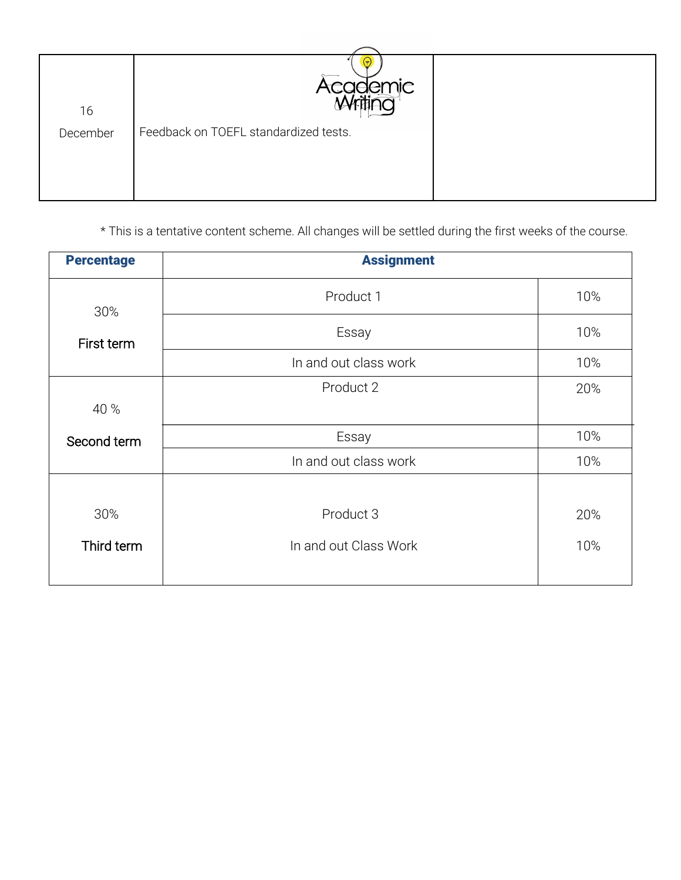| 16       | Academic<br>Alctica                   |  |
|----------|---------------------------------------|--|
| December | Feedback on TOEFL standardized tests. |  |

\* This is a tentative content scheme. All changes will be settled during the first weeks of the course.

| <b>Percentage</b> | <b>Assignment</b>     |     |
|-------------------|-----------------------|-----|
| 30%               | Product 1             | 10% |
| First term        | Essay                 | 10% |
|                   | In and out class work | 10% |
|                   | Product 2             | 20% |
| 40 %              |                       |     |
| Second term       | Essay                 | 10% |
|                   | In and out class work | 10% |
|                   |                       |     |
| 30%               | Product 3             | 20% |
| Third term        | In and out Class Work | 10% |
|                   |                       |     |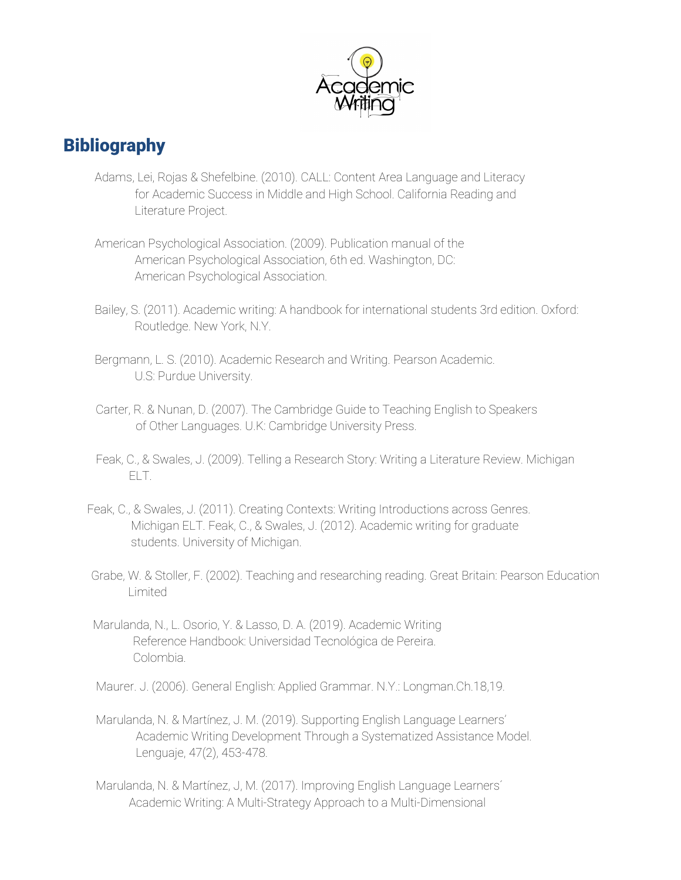

# **Bibliography**

- Adams, Lei, Rojas & Shefelbine. (2010). CALL: Content Area Language and Literacy for Academic Success in Middle and High School. California Reading and Literature Project.
- American Psychological Association. (2009). Publication manual of the American Psychological Association, 6th ed. Washington, DC: American Psychological Association.
- Bailey, S. (2011). Academic writing: A handbook for international students 3rd edition. Oxford: Routledge. New York, N.Y.
- Bergmann, L. S. (2010). Academic Research and Writing. Pearson Academic. U.S: Purdue University.
- Carter, R. & Nunan, D. (2007). The Cambridge Guide to Teaching English to Speakers of Other Languages. U.K: Cambridge University Press.
- Feak, C., & Swales, J. (2009). Telling a Research Story: Writing a Literature Review. Michigan ELT.
- Feak, C., & Swales, J. (2011). Creating Contexts: Writing Introductions across Genres. Michigan ELT. Feak, C., & Swales, J. (2012). Academic writing for graduate students. University of Michigan.
- Grabe, W. & Stoller, F. (2002). Teaching and researching reading. Great Britain: Pearson Education Limited
- Marulanda, N., L. Osorio, Y. & Lasso, D. A. (2019). Academic Writing Reference Handbook: Universidad Tecnológica de Pereira. Colombia.
- Maurer. J. (2006). General English: Applied Grammar. N.Y.: Longman.Ch.18,19.
- Marulanda, N. & Martínez, J. M. (2019). Supporting English Language Learners' Academic Writing Development Through a Systematized Assistance Model. Lenguaje, 47(2), 453-478.
- Marulanda, N. & Martínez, J, M. (2017). Improving English Language Learners´ Academic Writing: A Multi-Strategy Approach to a Multi-Dimensional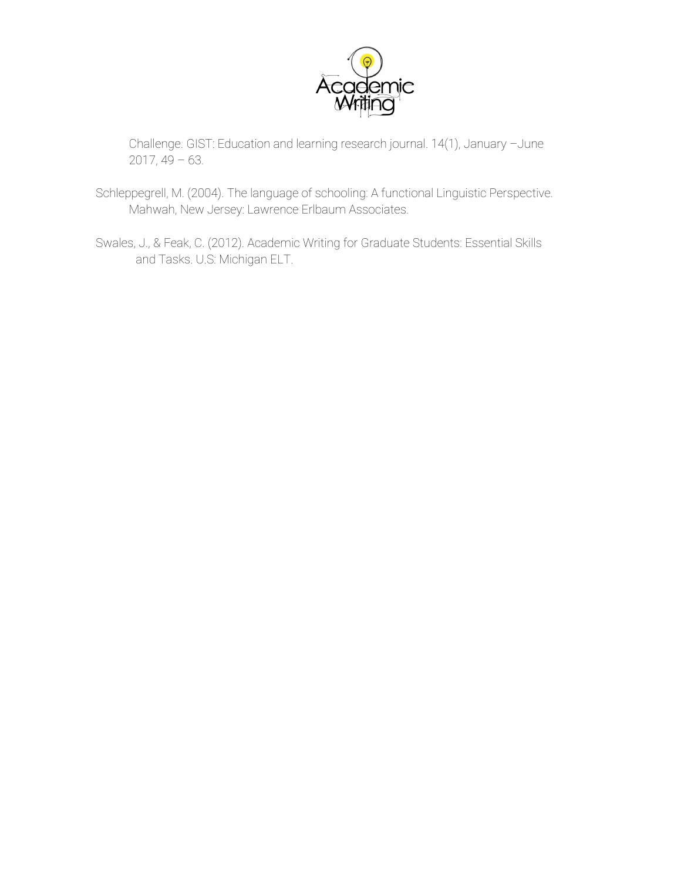

Challenge. GIST: Education and learning research journal. 14(1), January –June  $2017, 49 - 63.$ 

- Schleppegrell, M. (2004). The language of schooling: A functional Linguistic Perspective. Mahwah, New Jersey: Lawrence Erlbaum Associates.
- Swales, J., & Feak, C. (2012). Academic Writing for Graduate Students: Essential Skills and Tasks. U.S: Michigan ELT.